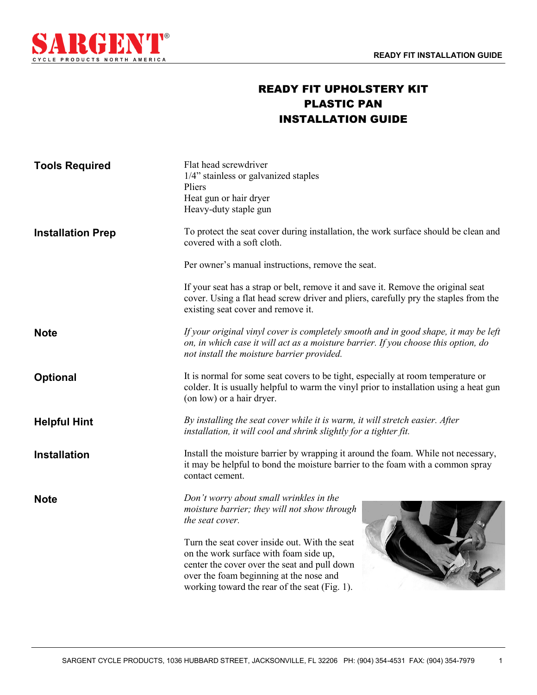

## READY FIT UPHOLSTERY KIT PLASTIC PAN INSTALLATION GUIDE

| <b>Tools Required</b>    | Flat head screwdriver<br>1/4" stainless or galvanized staples<br>Pliers<br>Heat gun or hair dryer<br>Heavy-duty staple gun                                                                                                          |
|--------------------------|-------------------------------------------------------------------------------------------------------------------------------------------------------------------------------------------------------------------------------------|
| <b>Installation Prep</b> | To protect the seat cover during installation, the work surface should be clean and<br>covered with a soft cloth.                                                                                                                   |
|                          | Per owner's manual instructions, remove the seat.                                                                                                                                                                                   |
|                          | If your seat has a strap or belt, remove it and save it. Remove the original seat<br>cover. Using a flat head screw driver and pliers, carefully pry the staples from the<br>existing seat cover and remove it.                     |
| <b>Note</b>              | If your original vinyl cover is completely smooth and in good shape, it may be left<br>on, in which case it will act as a moisture barrier. If you choose this option, do<br>not install the moisture barrier provided.             |
| Optional                 | It is normal for some seat covers to be tight, especially at room temperature or<br>colder. It is usually helpful to warm the vinyl prior to installation using a heat gun<br>(on low) or a hair dryer.                             |
| <b>Helpful Hint</b>      | By installing the seat cover while it is warm, it will stretch easier. After<br>installation, it will cool and shrink slightly for a tighter fit.                                                                                   |
| <b>Installation</b>      | Install the moisture barrier by wrapping it around the foam. While not necessary,<br>it may be helpful to bond the moisture barrier to the foam with a common spray<br>contact cement.                                              |
| <b>Note</b>              | Don't worry about small wrinkles in the<br>moisture barrier; they will not show through<br>the seat cover.                                                                                                                          |
|                          | Turn the seat cover inside out. With the seat<br>on the work surface with foam side up,<br>center the cover over the seat and pull down<br>over the foam beginning at the nose and<br>working toward the rear of the seat (Fig. 1). |